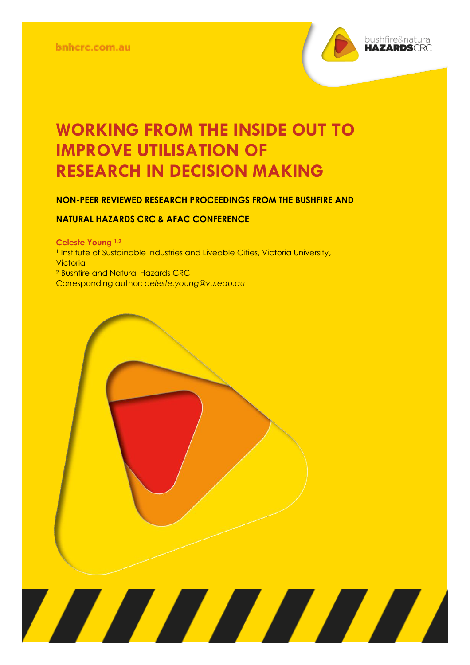

# **WORKING FROM THE INSIDE OUT TO IMPROVE UTILISATION OF RESEARCH IN DECISION MAKING**

#### **NON-PEER REVIEWED RESEARCH PROCEEDINGS FROM THE BUSHFIRE AND**

#### **NATURAL HAZARDS CRC & AFAC CONFERENCE**

**Perth, 5 – 8 September 2018 Celeste Young 1,2** <sup>1</sup> Institute of Sustainable Industries and Liveable Cities, Victoria University, **Victoria** <sup>2</sup> Bushfire and Natural Hazards CRC Corresponding author: *celeste.young@vu.edu.au*

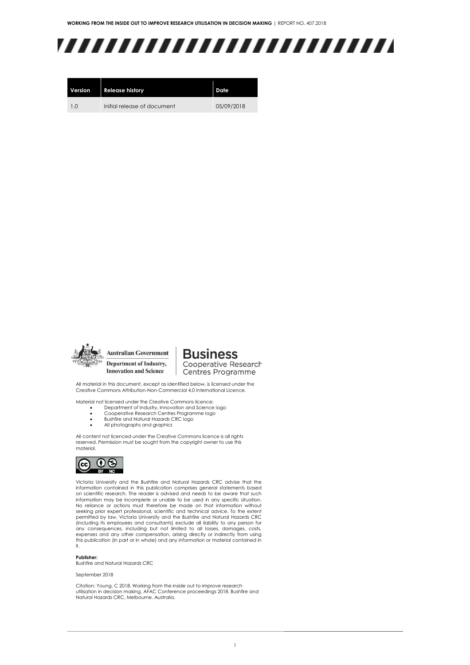# ,,,,,,,,,,,,,,,,,,,,,,,,,

| Version        | <b>Release history</b>      | Date       |
|----------------|-----------------------------|------------|
| 1 <sub>0</sub> | Initial release of document | 05/09/2018 |



**Business** Cooperative Research Centres Programme

All material in this document, except as identified below, is licensed under the Creative Commons Attribution-Non-Commercial 4.0 International Licence.

Material not licensed under the Creative Commons licence:

- Department of Industry, Innovation and Science logo<br>• Cooperative Research Centres Programme logo
- Cooperative Research Centres Programme logo • Bushfire and Natural Hazards CRC logo
- All photographs and graphics

All content not licenced under the Creative Commons licence is all rights reserved. Permission must be sought from the copyright owner to use this material.



Victoria University and the Bushfire and Natural Hazards CRC advise that the information contained in this publication comprises general statements based on scientific research. The reader is advised and needs to be aware that such information may be incomplete or unable to be used in any specific situation. No reliance or actions must therefore be made on that information without seeking prior expert professional, scientific and technical advice. To the extent permitted by law, Victoria University and the Bushfire and Natural Hazards CRC (including its employees and consultants) exclude all liability to any person for any consequences, including but not limited to all losses, damages, costs, expenses and any other compensation, arising directly or indirectly from using this publication (in part or in whole) and any information or material contained in it.

#### **Publisher:**

Bushfire and Natural Hazards CRC

September 2018

Citation: Young. C 2018. Working from the inside out to improve research utilisation in decision making, AFAC Conference proceedings 2018. Bushfire and Natural Hazards CRC, Melbourne. Australia.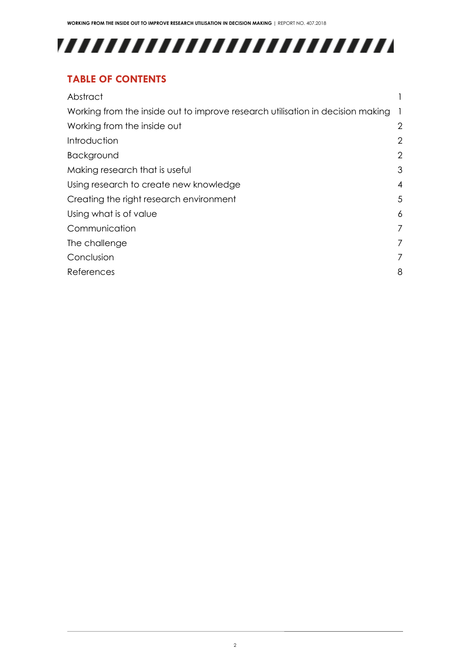# 

### **TABLE OF CONTENTS**

| Working from the inside out to improve research utilisation in decision making<br>- 1<br>Working from the inside out<br>Introduction<br>Background<br>Making research that is useful<br>Using research to create new knowledge<br>Creating the right research environment<br>Using what is of value<br>6<br>Communication<br>The challenge<br>Conclusion<br>8<br>References | Abstract |                |
|-----------------------------------------------------------------------------------------------------------------------------------------------------------------------------------------------------------------------------------------------------------------------------------------------------------------------------------------------------------------------------|----------|----------------|
|                                                                                                                                                                                                                                                                                                                                                                             |          |                |
|                                                                                                                                                                                                                                                                                                                                                                             |          | $\overline{2}$ |
|                                                                                                                                                                                                                                                                                                                                                                             |          | $\overline{2}$ |
|                                                                                                                                                                                                                                                                                                                                                                             |          | 2              |
|                                                                                                                                                                                                                                                                                                                                                                             |          | 3              |
|                                                                                                                                                                                                                                                                                                                                                                             |          | 4              |
|                                                                                                                                                                                                                                                                                                                                                                             |          | 5              |
|                                                                                                                                                                                                                                                                                                                                                                             |          |                |
|                                                                                                                                                                                                                                                                                                                                                                             |          | 7              |
|                                                                                                                                                                                                                                                                                                                                                                             |          | $\overline{7}$ |
|                                                                                                                                                                                                                                                                                                                                                                             |          | 7              |
|                                                                                                                                                                                                                                                                                                                                                                             |          |                |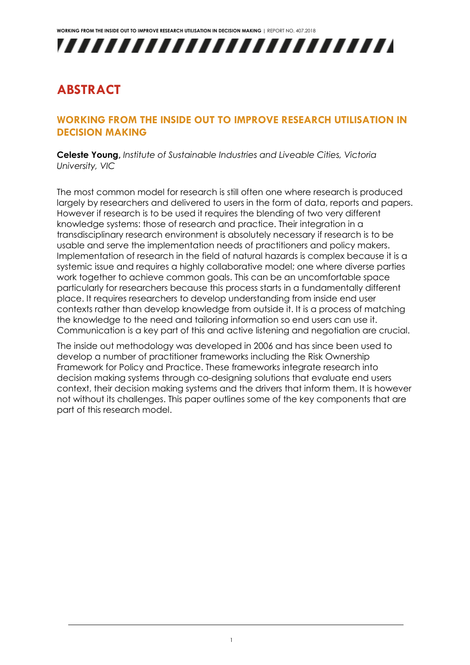

## <span id="page-3-0"></span>**ABSTRACT**

### <span id="page-3-1"></span>**WORKING FROM THE INSIDE OUT TO IMPROVE RESEARCH UTILISATION IN DECISION MAKING**

**Celeste Young,** *Institute of Sustainable Industries and Liveable Cities, Victoria University, VIC*

The most common model for research is still often one where research is produced largely by researchers and delivered to users in the form of data, reports and papers. However if research is to be used it requires the blending of two very different knowledge systems: those of research and practice. Their integration in a transdisciplinary research environment is absolutely necessary if research is to be usable and serve the implementation needs of practitioners and policy makers. Implementation of research in the field of natural hazards is complex because it is a systemic issue and requires a highly collaborative model; one where diverse parties work together to achieve common goals. This can be an uncomfortable space particularly for researchers because this process starts in a fundamentally different place. It requires researchers to develop understanding from inside end user contexts rather than develop knowledge from outside it. It is a process of matching the knowledge to the need and tailoring information so end users can use it. Communication is a key part of this and active listening and negotiation are crucial.

The inside out methodology was developed in 2006 and has since been used to develop a number of practitioner frameworks including the Risk Ownership Framework for Policy and Practice. These frameworks integrate research into decision making systems through co-designing solutions that evaluate end users context, their decision making systems and the drivers that inform them. It is however not without its challenges. This paper outlines some of the key components that are part of this research model.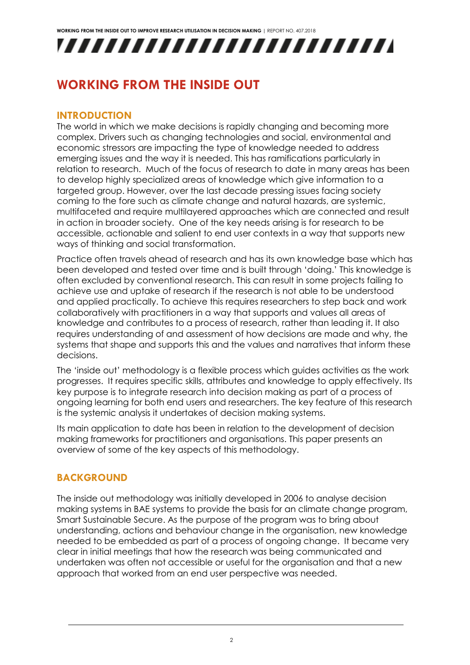

## <span id="page-4-0"></span>**WORKING FROM THE INSIDE OUT**

### <span id="page-4-1"></span>**INTRODUCTION**

The world in which we make decisions is rapidly changing and becoming more complex. Drivers such as changing technologies and social, environmental and economic stressors are impacting the type of knowledge needed to address emerging issues and the way it is needed. This has ramifications particularly in relation to research. Much of the focus of research to date in many areas has been to develop highly specialized areas of knowledge which give information to a targeted group. However, over the last decade pressing issues facing society coming to the fore such as climate change and natural hazards, are systemic, multifaceted and require multilayered approaches which are connected and result in action in broader society. One of the key needs arising is for research to be accessible, actionable and salient to end user contexts in a way that supports new ways of thinking and social transformation.

Practice often travels ahead of research and has its own knowledge base which has been developed and tested over time and is built through 'doing.' This knowledge is often excluded by conventional research. This can result in some projects failing to achieve use and uptake of research if the research is not able to be understood and applied practically. To achieve this requires researchers to step back and work collaboratively with practitioners in a way that supports and values all areas of knowledge and contributes to a process of research, rather than leading it. It also requires understanding of and assessment of how decisions are made and why, the systems that shape and supports this and the values and narratives that inform these decisions.

The 'inside out' methodology is a flexible process which guides activities as the work progresses. It requires specific skills, attributes and knowledge to apply effectively. Its key purpose is to integrate research into decision making as part of a process of ongoing learning for both end users and researchers. The key feature of this research is the systemic analysis it undertakes of decision making systems.

Its main application to date has been in relation to the development of decision making frameworks for practitioners and organisations. This paper presents an overview of some of the key aspects of this methodology.

### <span id="page-4-2"></span>**BACKGROUND**

The inside out methodology was initially developed in 2006 to analyse decision making systems in BAE systems to provide the basis for an climate change program, Smart Sustainable Secure. As the purpose of the program was to bring about understanding, actions and behaviour change in the organisation, new knowledge needed to be embedded as part of a process of ongoing change. It became very clear in initial meetings that how the research was being communicated and undertaken was often not accessible or useful for the organisation and that a new approach that worked from an end user perspective was needed.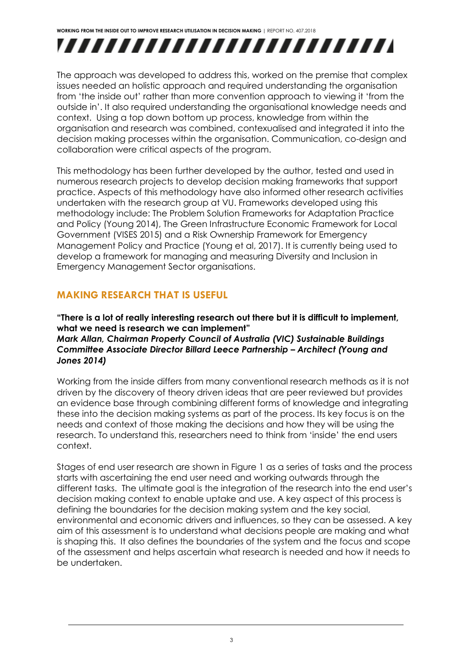# ,,,,,,,,,,,,,,,,,,,,,,,,,

The approach was developed to address this, worked on the premise that complex issues needed an holistic approach and required understanding the organisation from 'the inside out' rather than more convention approach to viewing it 'from the outside in'. It also required understanding the organisational knowledge needs and context. Using a top down bottom up process, knowledge from within the organisation and research was combined, contexualised and integrated it into the decision making processes within the organisation. Communication, co-design and collaboration were critical aspects of the program.

This methodology has been further developed by the author, tested and used in numerous research projects to develop decision making frameworks that support practice. Aspects of this methodology have also informed other research activities undertaken with the research group at VU. Frameworks developed using this methodology include: The Problem Solution Frameworks for Adaptation Practice and Policy (Young 2014), The Green Infrastructure Economic Framework for Local Government (VISES 2015) and a Risk Ownership Framework for Emergency Management Policy and Practice (Young et al, 2017). It is currently being used to develop a framework for managing and measuring Diversity and Inclusion in Emergency Management Sector organisations.

### <span id="page-5-0"></span>**MAKING RESEARCH THAT IS USEFUL**

**"There is a lot of really interesting research out there but it is difficult to implement, what we need is research we can implement"**  *Mark Allan, Chairman Property Council of Australia (VIC) Sustainable Buildings Committee Associate Director Billard Leece Partnership – Architect (Young and Jones 2014)*

Working from the inside differs from many conventional research methods as it is not driven by the discovery of theory driven ideas that are peer reviewed but provides an evidence base through combining different forms of knowledge and integrating these into the decision making systems as part of the process. Its key focus is on the needs and context of those making the decisions and how they will be using the research. To understand this, researchers need to think from 'inside' the end users context.

Stages of end user research are shown in Figure 1 as a series of tasks and the process starts with ascertaining the end user need and working outwards through the different tasks. The ultimate goal is the integration of the research into the end user's decision making context to enable uptake and use. A key aspect of this process is defining the boundaries for the decision making system and the key social, environmental and economic drivers and influences, so they can be assessed. A key aim of this assessment is to understand what decisions people are making and what is shaping this. It also defines the boundaries of the system and the focus and scope of the assessment and helps ascertain what research is needed and how it needs to be undertaken.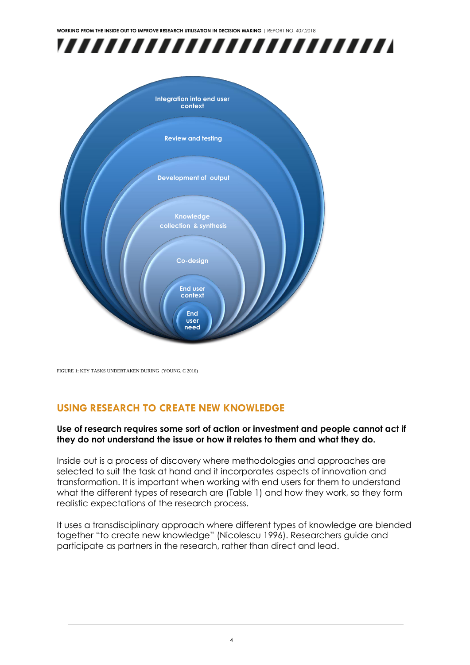



FIGURE 1: KEY TASKS UNDERTAKEN DURING (YOUNG. C 2016)

### <span id="page-6-0"></span>**USING RESEARCH TO CREATE NEW KNOWLEDGE**

### **Use of research requires some sort of action or investment and people cannot act if they do not understand the issue or how it relates to them and what they do.**

Inside out is a process of discovery where methodologies and approaches are selected to suit the task at hand and it incorporates aspects of innovation and transformation. It is important when working with end users for them to understand what the different types of research are (Table 1) and how they work, so they form realistic expectations of the research process.

It uses a transdisciplinary approach where different types of knowledge are blended together "to create new knowledge" (Nicolescu 1996). Researchers guide and participate as partners in the research, rather than direct and lead.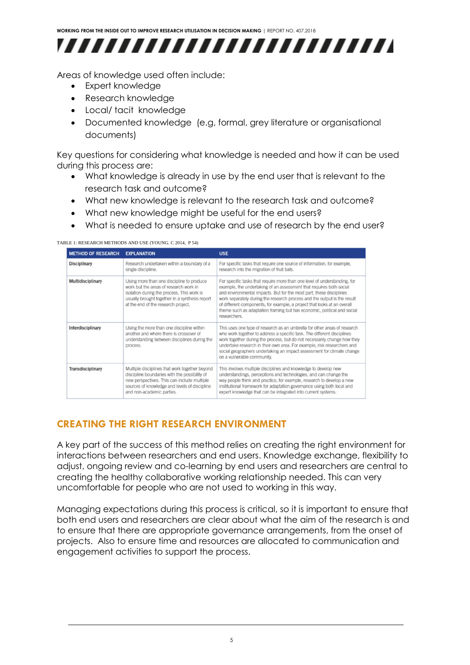

Areas of knowledge used often include:

- Expert knowledge
- Research knowledge
- Local/ tacit knowledge
- Documented knowledge (e.g, formal, grey literature or organisational documents)

Key questions for considering what knowledge is needed and how it can be used during this process are:

- What knowledge is already in use by the end user that is relevant to the research task and outcome?
- What new knowledge is relevant to the research task and outcome?
- What new knowledge might be useful for the end users?
- What is needed to ensure uptake and use of research by the end user?

#### TABLE 1: RESEARCH METHODS AND USE (YOUNG. C 2014, P 54)

| <b>METHOD OF RESEARCH</b> | <b>EXPLANATION</b>                                                                                                                                                                                                           | <b>USE</b>                                                                                                                                                                                                                                                                                                                                                                                                                                                                 |
|---------------------------|------------------------------------------------------------------------------------------------------------------------------------------------------------------------------------------------------------------------------|----------------------------------------------------------------------------------------------------------------------------------------------------------------------------------------------------------------------------------------------------------------------------------------------------------------------------------------------------------------------------------------------------------------------------------------------------------------------------|
| <b>Disciplinary</b>       | Research undertaken within a boundary of a<br>single discipline.                                                                                                                                                             | For specific tasks that require one source of information, for example,<br>research into the migration of fruit bats.                                                                                                                                                                                                                                                                                                                                                      |
| <b>Multidisciplinary</b>  | Using more than one discipline to produce<br>work but the areas of research work in<br>isolation during the process. This work is<br>usually brought together in a synthesis report<br>at the end of the research project.   | For specific tasks that require more than one level of understanding, for<br>example, the undertaking of an assessment that requires both social<br>and environmental impacts. But for the most part, these disciplines<br>work separately during the research process and the output is the result<br>of different components, for example, a project that looks at an overall<br>theme such as adaptation framing but has economic, political and social<br>researchers. |
| Interdisciplinary         | Using the more than one discipline within<br>another and where there is crossover of<br>understanding between disciplines during the<br>process.                                                                             | This uses one type of research as an umbrella for other areas of research<br>who work together to address a specific task. The different disciplines<br>work together during the process, but do not necessarily change how they<br>undertake research in their own area. For example, risk researchers and<br>social geographers undertaking an impact assessment for climate change<br>on a vulnerable community.                                                        |
| <b>Transdisciplinary</b>  | Multiple disciplines that work together beyond<br>discipline boundaries with the possibility of<br>new perspectives. This can include multiple<br>sources of knowledge and levels of discipline<br>and non-academic parties. | This involves multiple disciplines and knowledge to develop new<br>understandings, perceptions and technologies, and can change the<br>way people think and practice, for example, research to develop a new<br>institutional framework for adaptation governance using both local and<br>expert knowledge that can be integrated into current systems.                                                                                                                    |

### <span id="page-7-0"></span>**CREATING THE RIGHT RESEARCH ENVIRONMENT**

A key part of the success of this method relies on creating the right environment for interactions between researchers and end users. Knowledge exchange, flexibility to adjust, ongoing review and co-learning by end users and researchers are central to creating the healthy collaborative working relationship needed. This can very uncomfortable for people who are not used to working in this way.

Managing expectations during this process is critical, so it is important to ensure that both end users and researchers are clear about what the aim of the research is and to ensure that there are appropriate governance arrangements, from the onset of projects. Also to ensure time and resources are allocated to communication and engagement activities to support the process.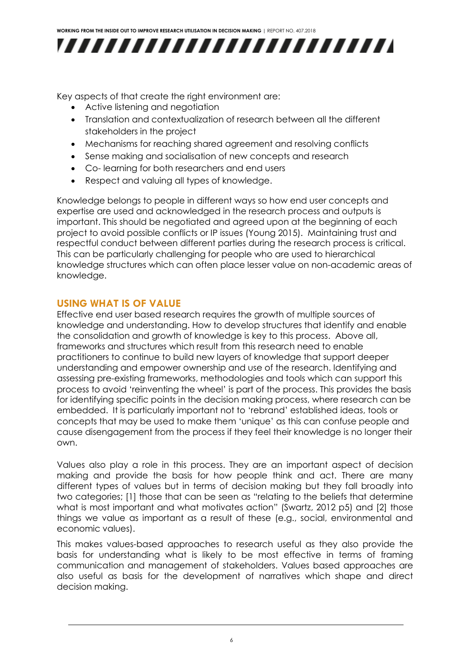

Key aspects of that create the right environment are:

- Active listening and negotiation
- Translation and contextualization of research between all the different stakeholders in the project
- Mechanisms for reaching shared agreement and resolving conflicts
- Sense making and socialisation of new concepts and research
- Co- learning for both researchers and end users
- Respect and valuing all types of knowledge.

Knowledge belongs to people in different ways so how end user concepts and expertise are used and acknowledged in the research process and outputs is important. This should be negotiated and agreed upon at the beginning of each project to avoid possible conflicts or IP issues (Young 2015). Maintaining trust and respectful conduct between different parties during the research process is critical. This can be particularly challenging for people who are used to hierarchical knowledge structures which can often place lesser value on non-academic areas of knowledge.

### <span id="page-8-0"></span>**USING WHAT IS OF VALUE**

Effective end user based research requires the growth of multiple sources of knowledge and understanding. How to develop structures that identify and enable the consolidation and growth of knowledge is key to this process. Above all, frameworks and structures which result from this research need to enable practitioners to continue to build new layers of knowledge that support deeper understanding and empower ownership and use of the research. Identifying and assessing pre-existing frameworks, methodologies and tools which can support this process to avoid 'reinventing the wheel' is part of the process. This provides the basis for identifying specific points in the decision making process, where research can be embedded. It is particularly important not to 'rebrand' established ideas, tools or concepts that may be used to make them 'unique' as this can confuse people and cause disengagement from the process if they feel their knowledge is no longer their own.

Values also play a role in this process. They are an important aspect of decision making and provide the basis for how people think and act. There are many different types of values but in terms of decision making but they fall broadly into two categories; [1] those that can be seen as "relating to the beliefs that determine what is most important and what motivates action" (Swartz, 2012 p5) and [2] those things we value as important as a result of these (e.g., social, environmental and economic values).

This makes values-based approaches to research useful as they also provide the basis for understanding what is likely to be most effective in terms of framing communication and management of stakeholders. Values based approaches are also useful as basis for the development of narratives which shape and direct decision making.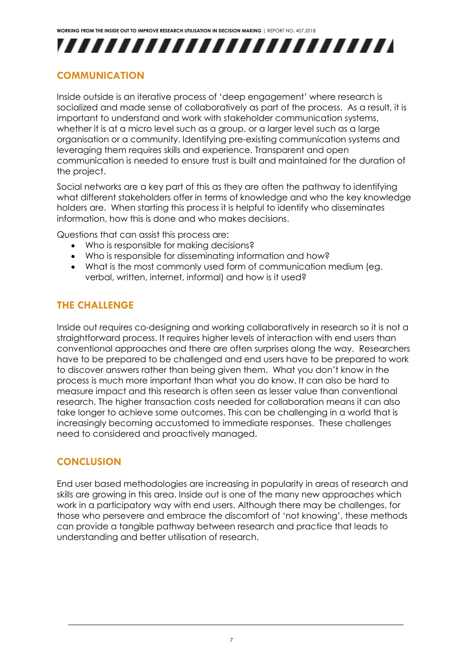

### <span id="page-9-0"></span>**COMMUNICATION**

Inside outside is an iterative process of 'deep engagement' where research is socialized and made sense of collaboratively as part of the process. As a result, it is important to understand and work with stakeholder communication systems, whether it is at a micro level such as a group, or a larger level such as a large organisation or a community. Identifying pre-existing communication systems and leveraging them requires skills and experience. Transparent and open communication is needed to ensure trust is built and maintained for the duration of the project.

Social networks are a key part of this as they are often the pathway to identifying what different stakeholders offer in terms of knowledge and who the key knowledge holders are. When starting this process it is helpful to identify who disseminates information, how this is done and who makes decisions.

Questions that can assist this process are:

- Who is responsible for making decisions?
- Who is responsible for disseminating information and how?
- What is the most commonly used form of communication medium (eg. verbal, written, internet, informal) and how is it used?

### <span id="page-9-1"></span>**THE CHALLENGE**

Inside out requires co-designing and working collaboratively in research so it is not a straightforward process. It requires higher levels of interaction with end users than conventional approaches and there are often surprises along the way. Researchers have to be prepared to be challenged and end users have to be prepared to work to discover answers rather than being given them. What you don't know in the process is much more important than what you do know. It can also be hard to measure impact and this research is often seen as lesser value than conventional research. The higher transaction costs needed for collaboration means it can also take longer to achieve some outcomes. This can be challenging in a world that is increasingly becoming accustomed to immediate responses. These challenges need to considered and proactively managed.

### <span id="page-9-2"></span>**CONCLUSION**

End user based methodologies are increasing in popularity in areas of research and skills are growing in this area. Inside out is one of the many new approaches which work in a participatory way with end users. Although there may be challenges, for those who persevere and embrace the discomfort of 'not knowing', these methods can provide a tangible pathway between research and practice that leads to understanding and better utilisation of research.